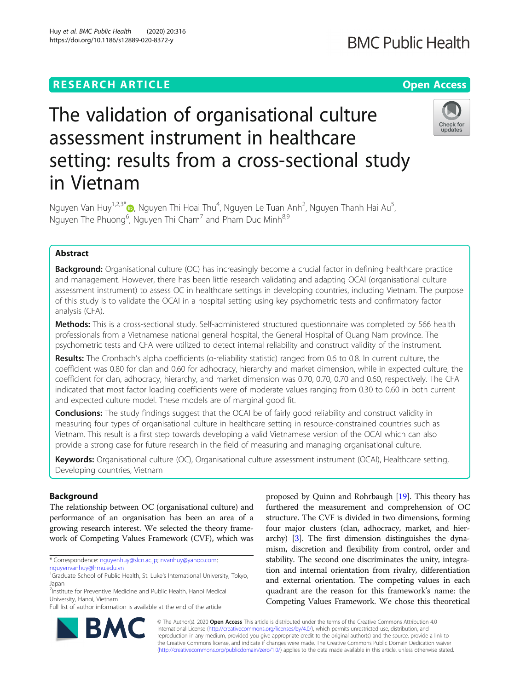# **RESEARCH ARTICLE Example 2014 12:30 The Contract of Contract ACCESS**

# The validation of organisational culture assessment instrument in healthcare setting: results from a cross-sectional study in Vietnam

Nguyen Van Huy<sup>1[,](https://orcid.org/0000-0002-5896-9661)2,3\*</sup>®, Nguyen Thi Hoai Thu<sup>4</sup>, Nguyen Le Tuan Anh<sup>2</sup>, Nguyen Thanh Hai Au<sup>5</sup> , Nguyen The Phuong<sup>6</sup>, Nguyen Thi Cham<sup>7</sup> and Pham Duc Minh<sup>8,9</sup>

# Abstract

**Background:** Organisational culture (OC) has increasingly become a crucial factor in defining healthcare practice and management. However, there has been little research validating and adapting OCAI (organisational culture assessment instrument) to assess OC in healthcare settings in developing countries, including Vietnam. The purpose of this study is to validate the OCAI in a hospital setting using key psychometric tests and confirmatory factor analysis (CFA).

Methods: This is a cross-sectional study. Self-administered structured questionnaire was completed by 566 health professionals from a Vietnamese national general hospital, the General Hospital of Quang Nam province. The psychometric tests and CFA were utilized to detect internal reliability and construct validity of the instrument.

Results: The Cronbach's alpha coefficients ( $\alpha$ -reliability statistic) ranged from 0.6 to 0.8. In current culture, the coefficient was 0.80 for clan and 0.60 for adhocracy, hierarchy and market dimension, while in expected culture, the coefficient for clan, adhocracy, hierarchy, and market dimension was 0.70, 0.70, 0.70 and 0.60, respectively. The CFA indicated that most factor loading coefficients were of moderate values ranging from 0.30 to 0.60 in both current and expected culture model. These models are of marginal good fit.

**Conclusions:** The study findings suggest that the OCAI be of fairly good reliability and construct validity in measuring four types of organisational culture in healthcare setting in resource-constrained countries such as Vietnam. This result is a first step towards developing a valid Vietnamese version of the OCAI which can also provide a strong case for future research in the field of measuring and managing organisational culture.

Keywords: Organisational culture (OC), Organisational culture assessment instrument (OCAI), Healthcare setting, Developing countries, Vietnam

# Background

The relationship between OC (organisational culture) and performance of an organisation has been an area of a growing research interest. We selected the theory framework of Competing Values Framework (CVF), which was

\* Correspondence: [nguyenhuy@slcn.ac.jp](mailto:nguyenhuy@slcn.ac.jp); [nvanhuy@yahoo.com](mailto:nvanhuy@yahoo.com); [nguyenvanhuy@hmu.edu.vn](mailto:nguyenvanhuy@hmu.edu.vn)

<sup>1</sup>Graduate School of Public Health, St. Luke's International University, Tokyo, Japan

<sup>2</sup>Institute for Preventive Medicine and Public Health, Hanoi Medical University, Hanoi, Vietnam Full list of author information is available at the end of the article

furthered the measurement and comprehension of OC structure. The CVF is divided in two dimensions, forming four major clusters (clan, adhocracy, market, and hierarchy) [[3\]](#page-7-0). The first dimension distinguishes the dynamism, discretion and flexibility from control, order and stability. The second one discriminates the unity, integration and internal orientation from rivalry, differentiation and external orientation. The competing values in each quadrant are the reason for this framework's name: the Competing Values Framework. We chose this theoretical

© The Author(s). 2020 **Open Access** This article is distributed under the terms of the Creative Commons Attribution 4.0 International License [\(http://creativecommons.org/licenses/by/4.0/](http://creativecommons.org/licenses/by/4.0/)), which permits unrestricted use, distribution, and reproduction in any medium, provided you give appropriate credit to the original author(s) and the source, provide a link to the Creative Commons license, and indicate if changes were made. The Creative Commons Public Domain Dedication waiver [\(http://creativecommons.org/publicdomain/zero/1.0/](http://creativecommons.org/publicdomain/zero/1.0/)) applies to the data made available in this article, unless otherwise stated.

proposed by Quinn and Rohrbaugh [[19](#page-7-0)]. This theory has





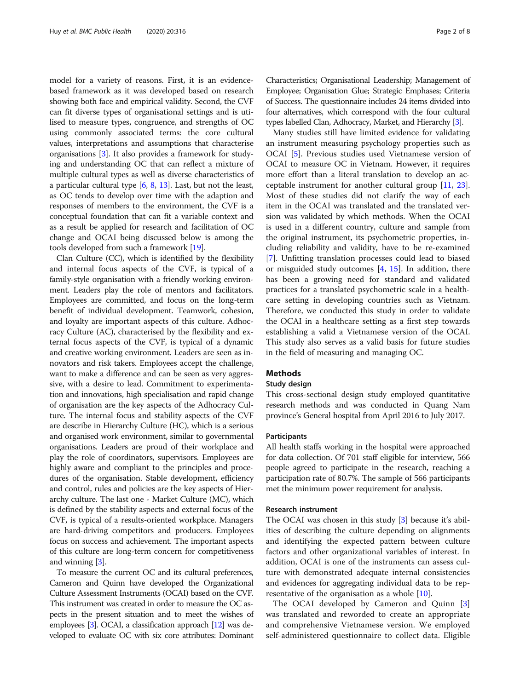model for a variety of reasons. First, it is an evidencebased framework as it was developed based on research showing both face and empirical validity. Second, the CVF can fit diverse types of organisational settings and is utilised to measure types, congruence, and strengths of OC using commonly associated terms: the core cultural values, interpretations and assumptions that characterise organisations [\[3](#page-7-0)]. It also provides a framework for studying and understanding OC that can reflect a mixture of multiple cultural types as well as diverse characteristics of a particular cultural type [\[6](#page-7-0), [8](#page-7-0), [13\]](#page-7-0). Last, but not the least, as OC tends to develop over time with the adaption and responses of members to the environment, the CVF is a conceptual foundation that can fit a variable context and as a result be applied for research and facilitation of OC change and OCAI being discussed below is among the tools developed from such a framework [[19](#page-7-0)].

Clan Culture (CC), which is identified by the flexibility and internal focus aspects of the CVF, is typical of a family-style organisation with a friendly working environment. Leaders play the role of mentors and facilitators. Employees are committed, and focus on the long-term benefit of individual development. Teamwork, cohesion, and loyalty are important aspects of this culture. Adhocracy Culture (AC), characterised by the flexibility and external focus aspects of the CVF, is typical of a dynamic and creative working environment. Leaders are seen as innovators and risk takers. Employees accept the challenge, want to make a difference and can be seen as very aggressive, with a desire to lead. Commitment to experimentation and innovations, high specialisation and rapid change of organisation are the key aspects of the Adhocracy Culture. The internal focus and stability aspects of the CVF are describe in Hierarchy Culture (HC), which is a serious and organised work environment, similar to governmental organisations. Leaders are proud of their workplace and play the role of coordinators, supervisors. Employees are highly aware and compliant to the principles and procedures of the organisation. Stable development, efficiency and control, rules and policies are the key aspects of Hierarchy culture. The last one - Market Culture (MC), which is defined by the stability aspects and external focus of the CVF, is typical of a results-oriented workplace. Managers are hard-driving competitors and producers. Employees focus on success and achievement. The important aspects of this culture are long-term concern for competitiveness and winning [\[3\]](#page-7-0).

To measure the current OC and its cultural preferences, Cameron and Quinn have developed the Organizational Culture Assessment Instruments (OCAI) based on the CVF. This instrument was created in order to measure the OC aspects in the present situation and to meet the wishes of employees [\[3\]](#page-7-0). OCAI, a classification approach [\[12](#page-7-0)] was developed to evaluate OC with six core attributes: Dominant Characteristics; Organisational Leadership; Management of Employee; Organisation Glue; Strategic Emphases; Criteria of Success. The questionnaire includes 24 items divided into four alternatives, which correspond with the four cultural types labelled Clan, Adhocracy, Market, and Hierarchy [\[3](#page-7-0)].

Many studies still have limited evidence for validating an instrument measuring psychology properties such as OCAI [[5\]](#page-7-0). Previous studies used Vietnamese version of OCAI to measure OC in Vietnam. However, it requires more effort than a literal translation to develop an acceptable instrument for another cultural group [[11,](#page-7-0) [23](#page-7-0)]. Most of these studies did not clarify the way of each item in the OCAI was translated and the translated version was validated by which methods. When the OCAI is used in a different country, culture and sample from the original instrument, its psychometric properties, including reliability and validity, have to be re-examined [[7\]](#page-7-0). Unfitting translation processes could lead to biased or misguided study outcomes [\[4](#page-7-0), [15](#page-7-0)]. In addition, there has been a growing need for standard and validated practices for a translated psychometric scale in a healthcare setting in developing countries such as Vietnam. Therefore, we conducted this study in order to validate the OCAI in a healthcare setting as a first step towards establishing a valid a Vietnamese version of the OCAI. This study also serves as a valid basis for future studies in the field of measuring and managing OC.

# **Methods**

# Study design

This cross-sectional design study employed quantitative research methods and was conducted in Quang Nam province's General hospital from April 2016 to July 2017.

# **Participants**

All health staffs working in the hospital were approached for data collection. Of 701 staff eligible for interview, 566 people agreed to participate in the research, reaching a participation rate of 80.7%. The sample of 566 participants met the minimum power requirement for analysis.

## Research instrument

The OCAI was chosen in this study [\[3](#page-7-0)] because it's abilities of describing the culture depending on alignments and identifying the expected pattern between culture factors and other organizational variables of interest. In addition, OCAI is one of the instruments can assess culture with demonstrated adequate internal consistencies and evidences for aggregating individual data to be representative of the organisation as a whole [\[10](#page-7-0)].

The OCAI developed by Cameron and Quinn [\[3](#page-7-0)] was translated and reworded to create an appropriate and comprehensive Vietnamese version. We employed self-administered questionnaire to collect data. Eligible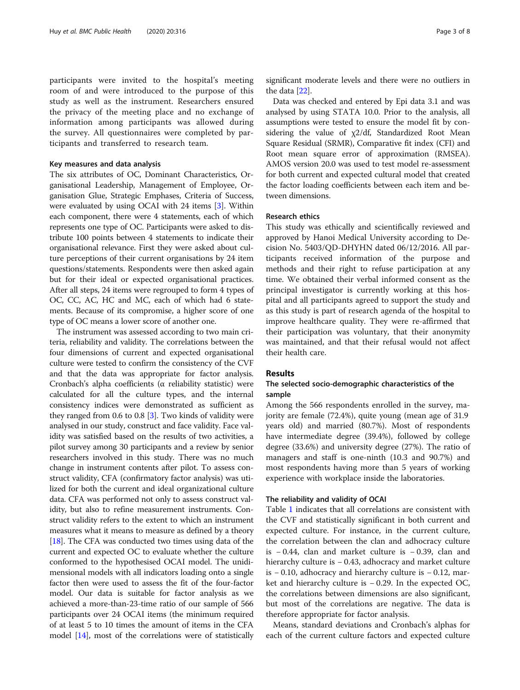participants were invited to the hospital's meeting room of and were introduced to the purpose of this study as well as the instrument. Researchers ensured the privacy of the meeting place and no exchange of information among participants was allowed during the survey. All questionnaires were completed by participants and transferred to research team.

#### Key measures and data analysis

The six attributes of OC, Dominant Characteristics, Organisational Leadership, Management of Employee, Organisation Glue, Strategic Emphases, Criteria of Success, were evaluated by using OCAI with 24 items [[3](#page-7-0)]. Within each component, there were 4 statements, each of which represents one type of OC. Participants were asked to distribute 100 points between 4 statements to indicate their organisational relevance. First they were asked about culture perceptions of their current organisations by 24 item questions/statements. Respondents were then asked again but for their ideal or expected organisational practices. After all steps, 24 items were regrouped to form 4 types of OC, CC, AC, HC and MC, each of which had 6 statements. Because of its compromise, a higher score of one type of OC means a lower score of another one.

The instrument was assessed according to two main criteria, reliability and validity. The correlations between the four dimensions of current and expected organisational culture were tested to confirm the consistency of the CVF and that the data was appropriate for factor analysis. Cronbach's alpha coefficients (α reliability statistic) were calculated for all the culture types, and the internal consistency indices were demonstrated as sufficient as they ranged from 0.6 to 0.8  $[3]$  $[3]$  $[3]$ . Two kinds of validity were analysed in our study, construct and face validity. Face validity was satisfied based on the results of two activities, a pilot survey among 30 participants and a review by senior researchers involved in this study. There was no much change in instrument contents after pilot. To assess construct validity, CFA (confirmatory factor analysis) was utilized for both the current and ideal organizational culture data. CFA was performed not only to assess construct validity, but also to refine measurement instruments. Construct validity refers to the extent to which an instrument measures what it means to measure as defined by a theory [[18](#page-7-0)]. The CFA was conducted two times using data of the current and expected OC to evaluate whether the culture conformed to the hypothesised OCAI model. The unidimensional models with all indicators loading onto a single factor then were used to assess the fit of the four-factor model. Our data is suitable for factor analysis as we achieved a more-than-23-time ratio of our sample of 566 participants over 24 OCAI items (the minimum required of at least 5 to 10 times the amount of items in the CFA model [[14\]](#page-7-0), most of the correlations were of statistically significant moderate levels and there were no outliers in the data [[22](#page-7-0)].

Data was checked and entered by Epi data 3.1 and was analysed by using STATA 10.0. Prior to the analysis, all assumptions were tested to ensure the model fit by considering the value of  $\chi$ 2/df, Standardized Root Mean Square Residual (SRMR), Comparative fit index (CFI) and Root mean square error of approximation (RMSEA). AMOS version 20.0 was used to test model re-assessment for both current and expected cultural model that created the factor loading coefficients between each item and between dimensions.

## Research ethics

This study was ethically and scientifically reviewed and approved by Hanoi Medical University according to Decision No. 5403/QD-DHYHN dated 06/12/2016. All participants received information of the purpose and methods and their right to refuse participation at any time. We obtained their verbal informed consent as the principal investigator is currently working at this hospital and all participants agreed to support the study and as this study is part of research agenda of the hospital to improve healthcare quality. They were re-affirmed that their participation was voluntary, that their anonymity was maintained, and that their refusal would not affect their health care.

# **Results**

# The selected socio-demographic characteristics of the sample

Among the 566 respondents enrolled in the survey, majority are female (72.4%), quite young (mean age of 31.9 years old) and married (80.7%). Most of respondents have intermediate degree (39.4%), followed by college degree (33.6%) and university degree (27%). The ratio of managers and staff is one-ninth (10.3 and 90.7%) and most respondents having more than 5 years of working experience with workplace inside the laboratories.

# The reliability and validity of OCAI

Table [1](#page-3-0) indicates that all correlations are consistent with the CVF and statistically significant in both current and expected culture. For instance, in the current culture, the correlation between the clan and adhocracy culture is − 0.44, clan and market culture is − 0.39, clan and hierarchy culture is − 0.43, adhocracy and market culture is − 0.10, adhocracy and hierarchy culture is − 0.12, market and hierarchy culture is − 0.29. In the expected OC, the correlations between dimensions are also significant, but most of the correlations are negative. The data is therefore appropriate for factor analysis.

Means, standard deviations and Cronbach's alphas for each of the current culture factors and expected culture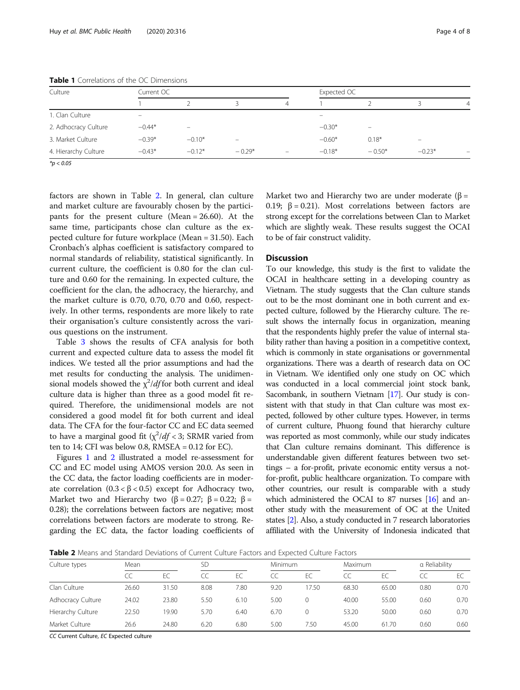| Culture              | Current OC        |                   |                          |                          | Expected OC              |          |          |          |
|----------------------|-------------------|-------------------|--------------------------|--------------------------|--------------------------|----------|----------|----------|
|                      |                   |                   |                          | 4                        |                          |          |          | 4        |
| 1. Clan Culture      | $\qquad \qquad =$ |                   |                          |                          | $\overline{\phantom{0}}$ |          |          |          |
| 2. Adhocracy Culture | $-0.44*$          | $\qquad \qquad =$ |                          |                          | $-0.30*$                 | -        |          |          |
| 3. Market Culture    | $-0.39*$          | $-0.10*$          | $\overline{\phantom{0}}$ |                          | $-0.60*$                 | $0.18*$  |          |          |
| 4. Hierarchy Culture | $-0.43*$          | $-0.12*$          | $-0.29*$                 | $\overline{\phantom{0}}$ | $-0.18*$                 | $-0.50*$ | $-0.23*$ | $\equiv$ |

<span id="page-3-0"></span>Table 1 Correlations of the OC Dimensions

 $*_{p}$  < 0.05

factors are shown in Table 2. In general, clan culture and market culture are favourably chosen by the participants for the present culture (Mean = 26.60). At the same time, participants chose clan culture as the expected culture for future workplace (Mean = 31.50). Each Cronbach's alphas coefficient is satisfactory compared to normal standards of reliability, statistical significantly. In current culture, the coefficient is 0.80 for the clan culture and 0.60 for the remaining. In expected culture, the coefficient for the clan, the adhocracy, the hierarchy, and the market culture is 0.70, 0.70, 0.70 and 0.60, respectively. In other terms, respondents are more likely to rate their organisation's culture consistently across the various questions on the instrument.

Table [3](#page-4-0) shows the results of CFA analysis for both current and expected culture data to assess the model fit indices. We tested all the prior assumptions and had the met results for conducting the analysis. The unidimensional models showed the  $\chi^2$ /df for both current and ideal culture data is higher than three as a good model fit required. Therefore, the unidimensional models are not considered a good model fit for both current and ideal data. The CFA for the four-factor CC and EC data seemed to have a marginal good fit  $(\chi^2/df < 3;$  SRMR varied from ten to  $14$ ; CFI was below 0.8, RMSEA = 0.12 for EC).

Figures [1](#page-4-0) and [2](#page-5-0) illustrated a model re-assessment for CC and EC model using AMOS version 20.0. As seen in the CC data, the factor loading coefficients are in moderate correlation  $(0.3 < β < 0.5)$  except for Adhocracy two, Market two and Hierarchy two ( $\beta = 0.27$ ;  $\beta = 0.22$ ;  $\beta =$ 0.28); the correlations between factors are negative; most correlations between factors are moderate to strong. Regarding the EC data, the factor loading coefficients of Market two and Hierarchy two are under moderate ( $\beta$  = 0.19;  $β = 0.21$ ). Most correlations between factors are strong except for the correlations between Clan to Market which are slightly weak. These results suggest the OCAI to be of fair construct validity.

# **Discussion**

To our knowledge, this study is the first to validate the OCAI in healthcare setting in a developing country as Vietnam. The study suggests that the Clan culture stands out to be the most dominant one in both current and expected culture, followed by the Hierarchy culture. The result shows the internally focus in organization, meaning that the respondents highly prefer the value of internal stability rather than having a position in a competitive context, which is commonly in state organisations or governmental organizations. There was a dearth of research data on OC in Vietnam. We identified only one study on OC which was conducted in a local commercial joint stock bank, Sacombank, in southern Vietnam [\[17](#page-7-0)]. Our study is consistent with that study in that Clan culture was most expected, followed by other culture types. However, in terms of current culture, Phuong found that hierarchy culture was reported as most commonly, while our study indicates that Clan culture remains dominant. This difference is understandable given different features between two settings – a for-profit, private economic entity versus a notfor-profit, public healthcare organization. To compare with other countries, our result is comparable with a study which administered the OCAI to 87 nurses [\[16\]](#page-7-0) and another study with the measurement of OC at the United states [\[2\]](#page-7-0). Also, a study conducted in 7 research laboratories affiliated with the University of Indonesia indicated that

Table 2 Means and Standard Deviations of Current Culture Factors and Expected Culture Factors

| Culture types     | Mean  |       |      | SD   |      | Minimum  |       | <b>Maximum</b> |      | a Reliability |  |
|-------------------|-------|-------|------|------|------|----------|-------|----------------|------|---------------|--|
|                   | CC    | FC.   | CC   | EC   | CC   | EC       |       | FC.            |      |               |  |
| Clan Culture      | 26.60 | 31.50 | 8.08 | 7.80 | 9.20 | 17.50    | 68.30 | 65.00          | 0.80 | 0.70          |  |
| Adhocracy Culture | 24.02 | 23.80 | 5.50 | 6.10 | 5.00 | $\Omega$ | 40.00 | 55.00          | 0.60 | 0.70          |  |
| Hierarchy Culture | 22.50 | 19.90 | 5.70 | 6.40 | 6.70 | $\Omega$ | 53.20 | 50.00          | 0.60 | 0.70          |  |
| Market Culture    | 26.6  | 24.80 | 6.20 | 6.80 | 5.00 | 7.50     | 45.00 | 61.70          | 0.60 | 0.60          |  |

CC Current Culture, EC Expected culture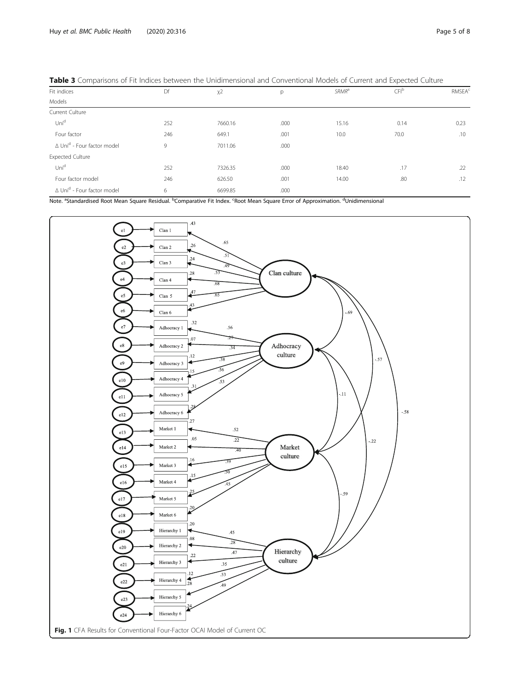| . .                                           |     |         |      |                   | . .              |                          |  |
|-----------------------------------------------|-----|---------|------|-------------------|------------------|--------------------------|--|
| Fit indices                                   | Df  | $X^2$   | р    | SRMR <sup>a</sup> | CFI <sup>b</sup> | <b>RMSEA<sup>c</sup></b> |  |
| Models                                        |     |         |      |                   |                  |                          |  |
| Current Culture                               |     |         |      |                   |                  |                          |  |
| Unid                                          | 252 | 7660.16 | .000 | 15.16             | 0.14             | 0.23                     |  |
| Four factor                                   | 246 | 649.1   | .001 | 10.0              | 70.0             | .10                      |  |
| ∆ Uni <sup>d</sup> - Four factor model        | 9   | 7011.06 | .000 |                   |                  |                          |  |
| <b>Expected Culture</b>                       |     |         |      |                   |                  |                          |  |
| Unid                                          | 252 | 7326.35 | .000 | 18.40             | .17              | .22                      |  |
| Four factor model                             | 246 | 626.50  | .001 | 14.00             | .80              | .12                      |  |
| $\Delta$ Uni <sup>d</sup> - Four factor model | 6   | 6699.85 | .000 |                   |                  |                          |  |
|                                               |     |         |      |                   |                  |                          |  |

<span id="page-4-0"></span>

| Table 3 Comparisons of Fit Indices between the Unidimensional and Conventional Models of Current and Expected Culture |  |
|-----------------------------------------------------------------------------------------------------------------------|--|
|-----------------------------------------------------------------------------------------------------------------------|--|

Note. <sup>a</sup>Standardised Root Mean Square Residual. <sup>b</sup>Comparative Fit Index. <sup>c</sup>Root Mean Square Error of Approximation. <sup>d</sup>Unidimensional

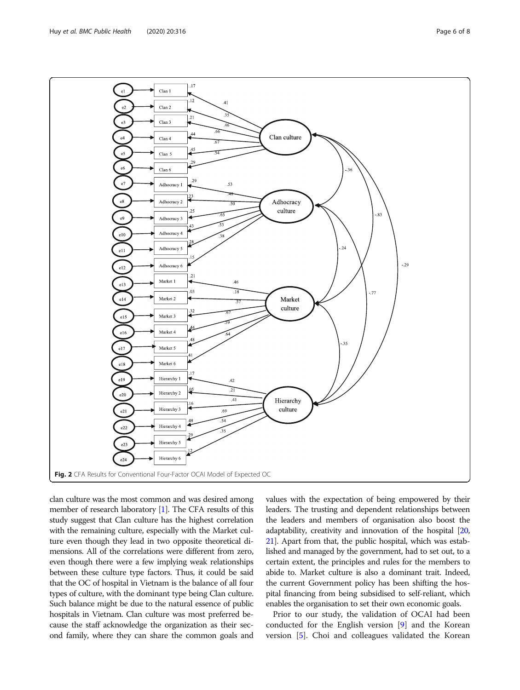<span id="page-5-0"></span>

clan culture was the most common and was desired among member of research laboratory [[1](#page-7-0)]. The CFA results of this study suggest that Clan culture has the highest correlation with the remaining culture, especially with the Market culture even though they lead in two opposite theoretical dimensions. All of the correlations were different from zero, even though there were a few implying weak relationships between these culture type factors. Thus, it could be said that the OC of hospital in Vietnam is the balance of all four types of culture, with the dominant type being Clan culture. Such balance might be due to the natural essence of public hospitals in Vietnam. Clan culture was most preferred because the staff acknowledge the organization as their second family, where they can share the common goals and

values with the expectation of being empowered by their leaders. The trusting and dependent relationships between the leaders and members of organisation also boost the adaptability, creativity and innovation of the hospital [\[20](#page-7-0), [21](#page-7-0)]. Apart from that, the public hospital, which was established and managed by the government, had to set out, to a certain extent, the principles and rules for the members to abide to. Market culture is also a dominant trait. Indeed, the current Government policy has been shifting the hospital financing from being subsidised to self-reliant, which enables the organisation to set their own economic goals.

Prior to our study, the validation of OCAI had been conducted for the English version [[9](#page-7-0)] and the Korean version [\[5](#page-7-0)]. Choi and colleagues validated the Korean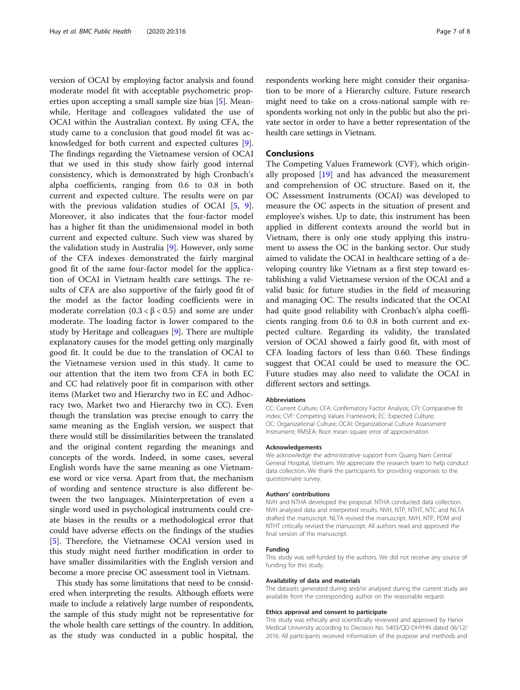version of OCAI by employing factor analysis and found moderate model fit with acceptable psychometric properties upon accepting a small sample size bias [\[5](#page-7-0)]. Meanwhile, Heritage and colleagues validated the use of OCAI within the Australian context. By using CFA, the study came to a conclusion that good model fit was acknowledged for both current and expected cultures [\[9](#page-7-0)]. The findings regarding the Vietnamese version of OCAI that we used in this study show fairly good internal consistency, which is demonstrated by high Cronbach's alpha coefficients, ranging from 0.6 to 0.8 in both current and expected culture. The results were on par with the previous validation studies of OCAI [\[5](#page-7-0), [9](#page-7-0)]. Moreover, it also indicates that the four-factor model has a higher fit than the unidimensional model in both current and expected culture. Such view was shared by the validation study in Australia [[9\]](#page-7-0). However, only some of the CFA indexes demonstrated the fairly marginal good fit of the same four-factor model for the application of OCAI in Vietnam health care settings. The results of CFA are also supportive of the fairly good fit of the model as the factor loading coefficients were in moderate correlation  $(0.3 < β < 0.5)$  and some are under moderate. The loading factor is lower compared to the study by Heritage and colleagues [[9](#page-7-0)]. There are multiple explanatory causes for the model getting only marginally good fit. It could be due to the translation of OCAI to the Vietnamese version used in this study. It came to our attention that the item two from CFA in both EC and CC had relatively poor fit in comparison with other items (Market two and Hierarchy two in EC and Adhocracy two, Market two and Hierarchy two in CC). Even though the translation was precise enough to carry the same meaning as the English version, we suspect that there would still be dissimilarities between the translated and the original content regarding the meanings and concepts of the words. Indeed, in some cases, several English words have the same meaning as one Vietnamese word or vice versa. Apart from that, the mechanism of wording and sentence structure is also different between the two languages. Misinterpretation of even a single word used in psychological instruments could create biases in the results or a methodological error that could have adverse effects on the findings of the studies [[5\]](#page-7-0). Therefore, the Vietnamese OCAI version used in this study might need further modification in order to have smaller dissimilarities with the English version and become a more precise OC assessment tool in Vietnam.

This study has some limitations that need to be considered when interpreting the results. Although efforts were made to include a relatively large number of respondents, the sample of this study might not be representative for the whole health care settings of the country. In addition, as the study was conducted in a public hospital, the respondents working here might consider their organisation to be more of a Hierarchy culture. Future research might need to take on a cross-national sample with respondents working not only in the public but also the private sector in order to have a better representation of the health care settings in Vietnam.

# **Conclusions**

The Competing Values Framework (CVF), which originally proposed [[19](#page-7-0)] and has advanced the measurement and comprehension of OC structure. Based on it, the OC Assessment Instruments (OCAI) was developed to measure the OC aspects in the situation of present and employee's wishes. Up to date, this instrument has been applied in different contexts around the world but in Vietnam, there is only one study applying this instrument to assess the OC in the banking sector. Our study aimed to validate the OCAI in healthcare setting of a developing country like Vietnam as a first step toward establishing a valid Vietnamese version of the OCAI and a valid basic for future studies in the field of measuring and managing OC. The results indicated that the OCAI had quite good reliability with Cronbach's alpha coefficients ranging from 0.6 to 0.8 in both current and expected culture. Regarding its validity, the translated version of OCAI showed a fairly good fit, with most of CFA loading factors of less than 0.60. These findings suggest that OCAI could be used to measure the OC. Future studies may also need to validate the OCAI in different sectors and settings.

#### Abbreviations

CC: Current Culture; CFA: Confirmatory Factor Analysis; CFI: Comparative fit index; CVF: Competing Values Framework; EC: Expected Culture; OC: Organizational Culture; OCAI: Organizational Culture Assessment Instrument; RMSEA: Root mean square error of approximation

#### Acknowledgements

We acknowledge the administrative support from Quang Nam Central General Hospital, Vietnam. We appreciate the research team to help conduct data collection. We thank the participants for providing responses to the questionnaire survey.

#### Authors' contributions

NVH and NTHA developed the proposal. NTHA conducted data collection. NVH analysed data and interpreted results. NVH, NTP, NTHT, NTC and NLTA drafted the manuscript. NLTA revised the manuscript. NVH, NTP, PDM and NTHT critically revised the manuscript. All authors read and approved the final version of the manuscript.

## Funding

This study was self-funded by the authors. We did not receive any source of funding for this study.

#### Availability of data and materials

The datasets generated during and/or analysed during the current study are available from the corresponding author on the reasonable request.

#### Ethics approval and consent to participate

This study was ethically and scientifically reviewed and approved by Hanoi Medical University according to Decision No. 5403/QD-DHYHN dated 06/12/ 2016. All participants received information of the purpose and methods and